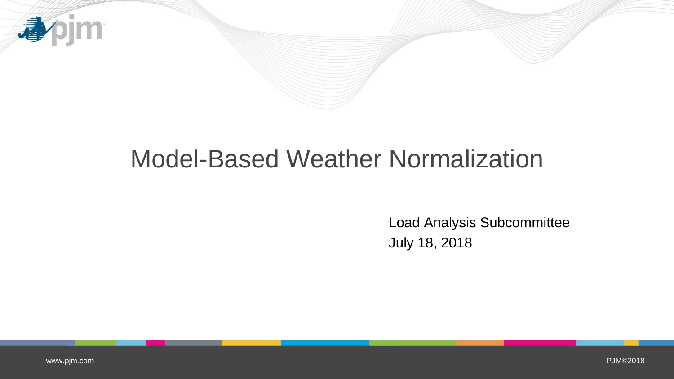

## Model-Based Weather Normalization

Load Analysis Subcommittee July 18, 2018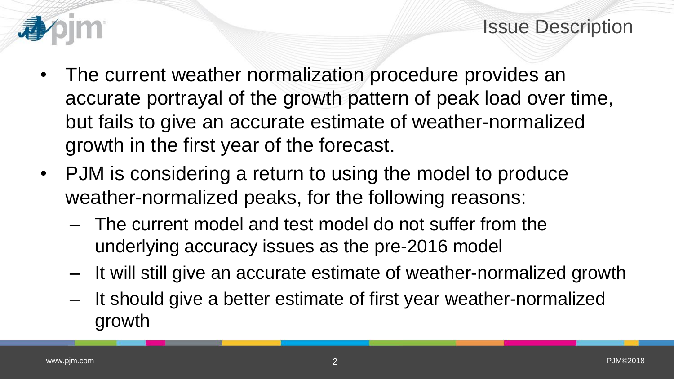



- The current weather normalization procedure provides an accurate portrayal of the growth pattern of peak load over time, but fails to give an accurate estimate of weather-normalized growth in the first year of the forecast.
- PJM is considering a return to using the model to produce weather-normalized peaks, for the following reasons:
	- The current model and test model do not suffer from the underlying accuracy issues as the pre-2016 model
	- It will still give an accurate estimate of weather-normalized growth
	- It should give a better estimate of first year weather-normalized growth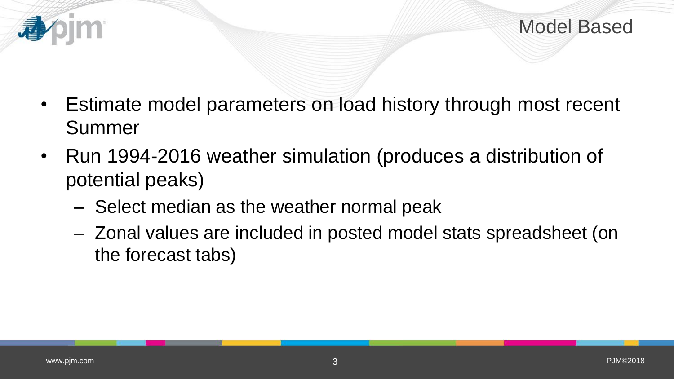

- Estimate model parameters on load history through most recent Summer
- Run 1994-2016 weather simulation (produces a distribution of potential peaks)
	- Select median as the weather normal peak
	- Zonal values are included in posted model stats spreadsheet (on the forecast tabs)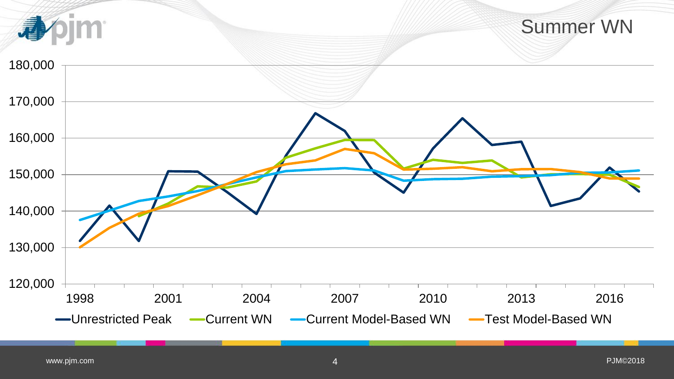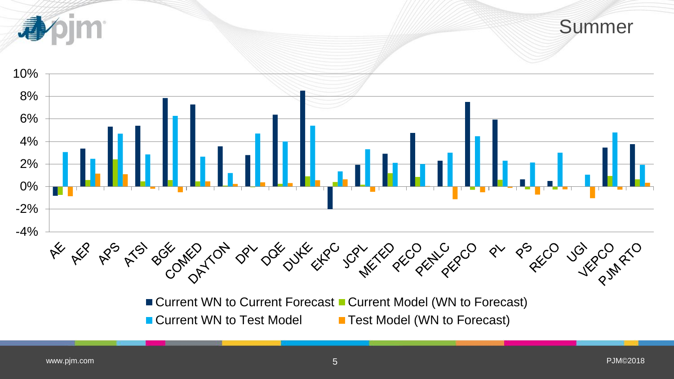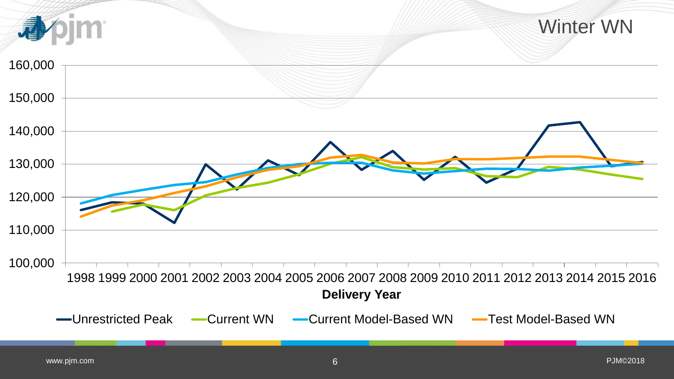